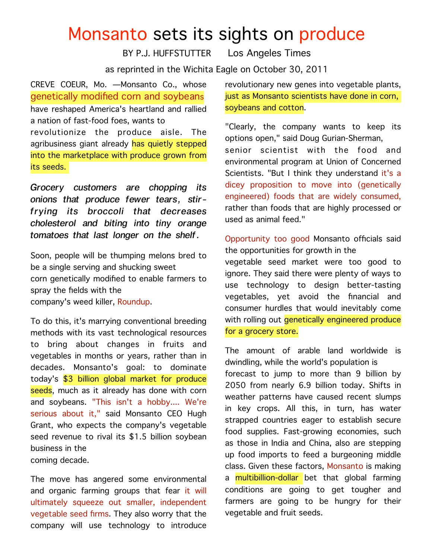## Monsanto sets its sights on produce

BY P.J. HUFFSTUTTER Los Angeles Times

as reprinted in the Wichita Eagle on October 30, 2011

CREVE COEUR, Mo. —Monsanto Co., whose genetically modified corn and soybeans have reshaped America's heartland and rallied a nation of fast-food foes, wants to revolutionize the produce aisle. The agribusiness giant already has quietly stepped into the marketplace with produce grown from its seeds.

*Grocery customers are chopping its onions that produce fewer tears, stirfrying its broccoli that decreases cholesterol and biting into tiny orange tomatoes that last longer on the shelf.* 

Soon, people will be thumping melons bred to be a single serving and shucking sweet corn genetically modified to enable farmers to spray the fields with the company's weed killer, Roundup.

To do this, it's marrying conventional breeding methods with its vast technological resources to bring about changes in fruits and vegetables in months or years, rather than in decades. Monsanto's goal: to dominate today's \$3 billion global market for produce seeds, much as it already has done with corn and soybeans. "This isn't a hobby.... We're serious about it," said Monsanto CEO Hugh Grant, who expects the company's vegetable seed revenue to rival its \$1.5 billion soybean business in the coming decade.

The move has angered some environmental and organic farming groups that fear it will ultimately squeeze out smaller, independent vegetable seed firms. They also worry that the company will use technology to introduce

revolutionary new genes into vegetable plants, just as Monsanto scientists have done in corn, soybeans and cotton.

"Clearly, the company wants to keep its options open," said Doug Gurian-Sherman, senior scientist with the food and environmental program at Union of Concerned Scientists. "But I think they understand it's a dicey proposition to move into (genetically engineered) foods that are widely consumed, rather than foods that are highly processed or used as animal feed."

Opportunity too good Monsanto officials said the opportunities for growth in the vegetable seed market were too good to ignore. They said there were plenty of ways to use technology to design better-tasting vegetables, yet avoid the financial and consumer hurdles that would inevitably come with rolling out *genetically engineered produce* for a grocery store.

The amount of arable land worldwide is dwindling, while the world's population is forecast to jump to more than 9 billion by 2050 from nearly 6.9 billion today. Shifts in weather patterns have caused recent slumps in key crops. All this, in turn, has water strapped countries eager to establish secure food supplies. Fast-growing economies, such as those in India and China, also are stepping up food imports to feed a burgeoning middle class. Given these factors, Monsanto is making a **multibillion-dollar** bet that global farming conditions are going to get tougher and farmers are going to be hungry for their vegetable and fruit seeds.